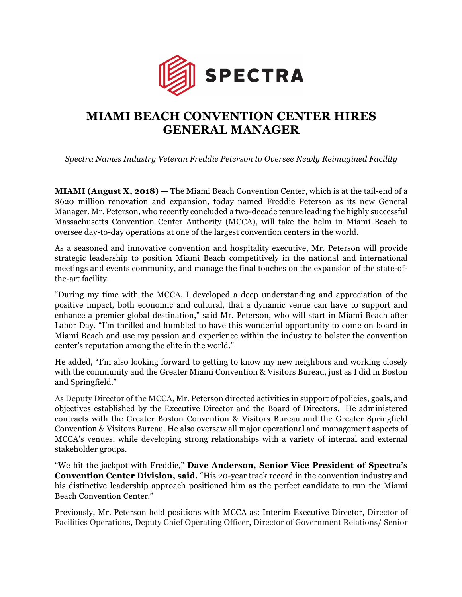

## **MIAMI BEACH CONVENTION CENTER HIRES GENERAL MANAGER**

*Spectra Names Industry Veteran Freddie Peterson to Oversee Newly Reimagined Facility*

**MIAMI (August X, 2018) —** The Miami Beach Convention Center, which is at the tail-end of a \$620 million renovation and expansion, today named Freddie Peterson as its new General Manager. Mr. Peterson, who recently concluded a two-decade tenure leading the highly successful Massachusetts Convention Center Authority (MCCA), will take the helm in Miami Beach to oversee day-to-day operations at one of the largest convention centers in the world.

As a seasoned and innovative convention and hospitality executive, Mr. Peterson will provide strategic leadership to position Miami Beach competitively in the national and international meetings and events community, and manage the final touches on the expansion of the state-ofthe-art facility.

"During my time with the MCCA, I developed a deep understanding and appreciation of the positive impact, both economic and cultural, that a dynamic venue can have to support and enhance a premier global destination," said Mr. Peterson, who will start in Miami Beach after Labor Day. "I'm thrilled and humbled to have this wonderful opportunity to come on board in Miami Beach and use my passion and experience within the industry to bolster the convention center's reputation among the elite in the world."

He added, "I'm also looking forward to getting to know my new neighbors and working closely with the community and the Greater Miami Convention & Visitors Bureau, just as I did in Boston and Springfield."

As Deputy Director of the MCCA, Mr. Peterson directed activities in support of policies, goals, and objectives established by the Executive Director and the Board of Directors. He administered contracts with the Greater Boston Convention & Visitors Bureau and the Greater Springfield Convention & Visitors Bureau. He also oversaw all major operational and management aspects of MCCA's venues, while developing strong relationships with a variety of internal and external stakeholder groups.

"We hit the jackpot with Freddie," **Dave Anderson, Senior Vice President of Spectra's Convention Center Division, said.** "His 20-year track record in the convention industry and his distinctive leadership approach positioned him as the perfect candidate to run the Miami Beach Convention Center."

Previously, Mr. Peterson held positions with MCCA as: Interim Executive Director, Director of Facilities Operations, Deputy Chief Operating Officer, Director of Government Relations/ Senior